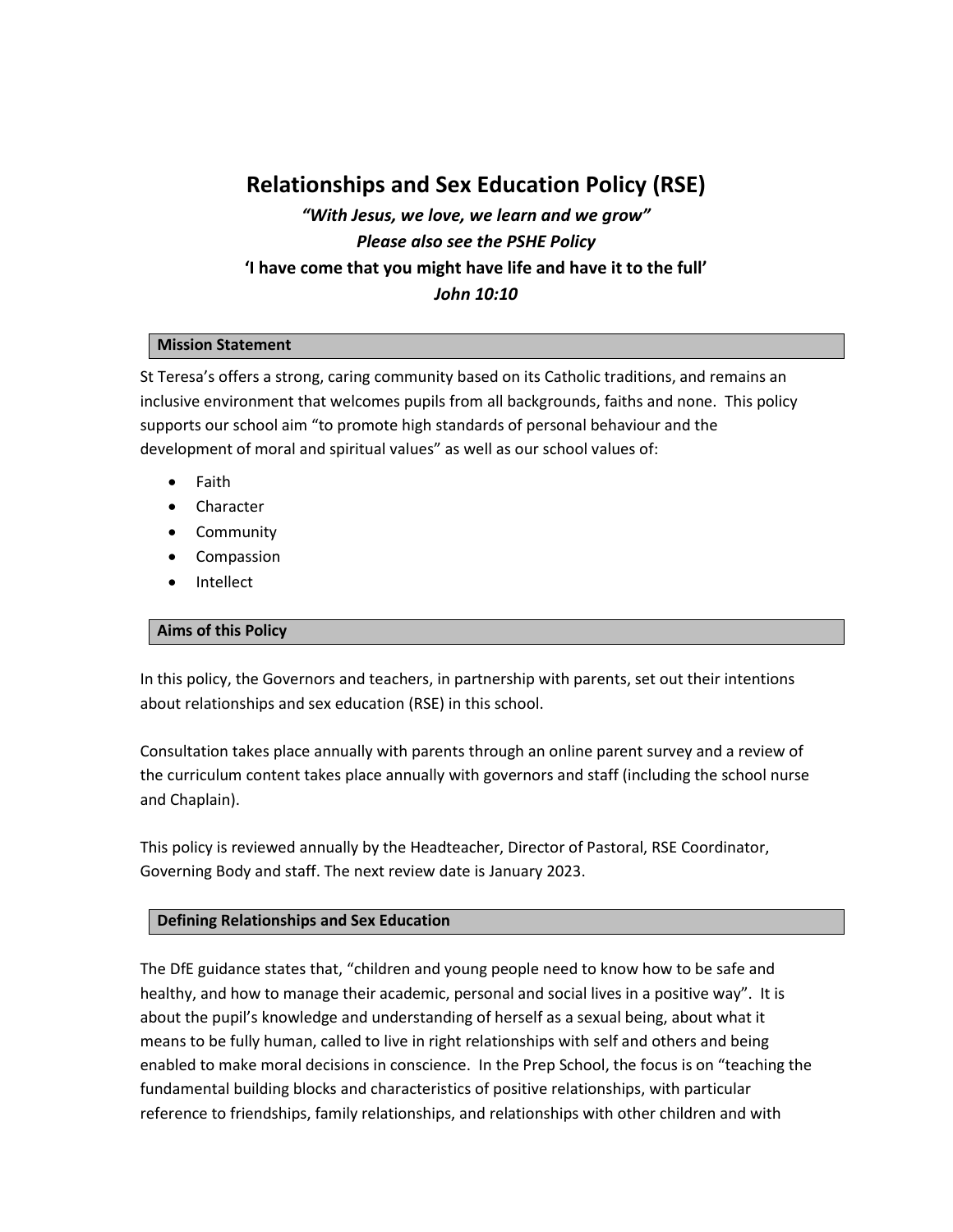# **Relationships and Sex Education Policy (RSE)**

*"With Jesus, we love, we learn and we grow" Please also see the PSHE Policy* **'I have come that you might have life and have it to the full'** *John 10:10*

# **Mission Statement**

St Teresa's offers a strong, caring community based on its Catholic traditions, and remains an inclusive environment that welcomes pupils from all backgrounds, faiths and none. This policy supports our school aim "to promote high standards of personal behaviour and the development of moral and spiritual values" as well as our school values of:

- Faith
- **•** Character
- Community
- Compassion
- Intellect

# **Aims of this Policy**

In this policy, the Governors and teachers, in partnership with parents, set out their intentions about relationships and sex education (RSE) in this school.

Consultation takes place annually with parents through an online parent survey and a review of the curriculum content takes place annually with governors and staff (including the school nurse and Chaplain).

This policy is reviewed annually by the Headteacher, Director of Pastoral, RSE Coordinator, Governing Body and staff. The next review date is January 2023.

# **Defining Relationships and Sex Education**

The DfE guidance states that, "children and young people need to know how to be safe and healthy, and how to manage their academic, personal and social lives in a positive way". It is about the pupil's knowledge and understanding of herself as a sexual being, about what it means to be fully human, called to live in right relationships with self and others and being enabled to make moral decisions in conscience. In the Prep School, the focus is on "teaching the fundamental building blocks and characteristics of positive relationships, with particular reference to friendships, family relationships, and relationships with other children and with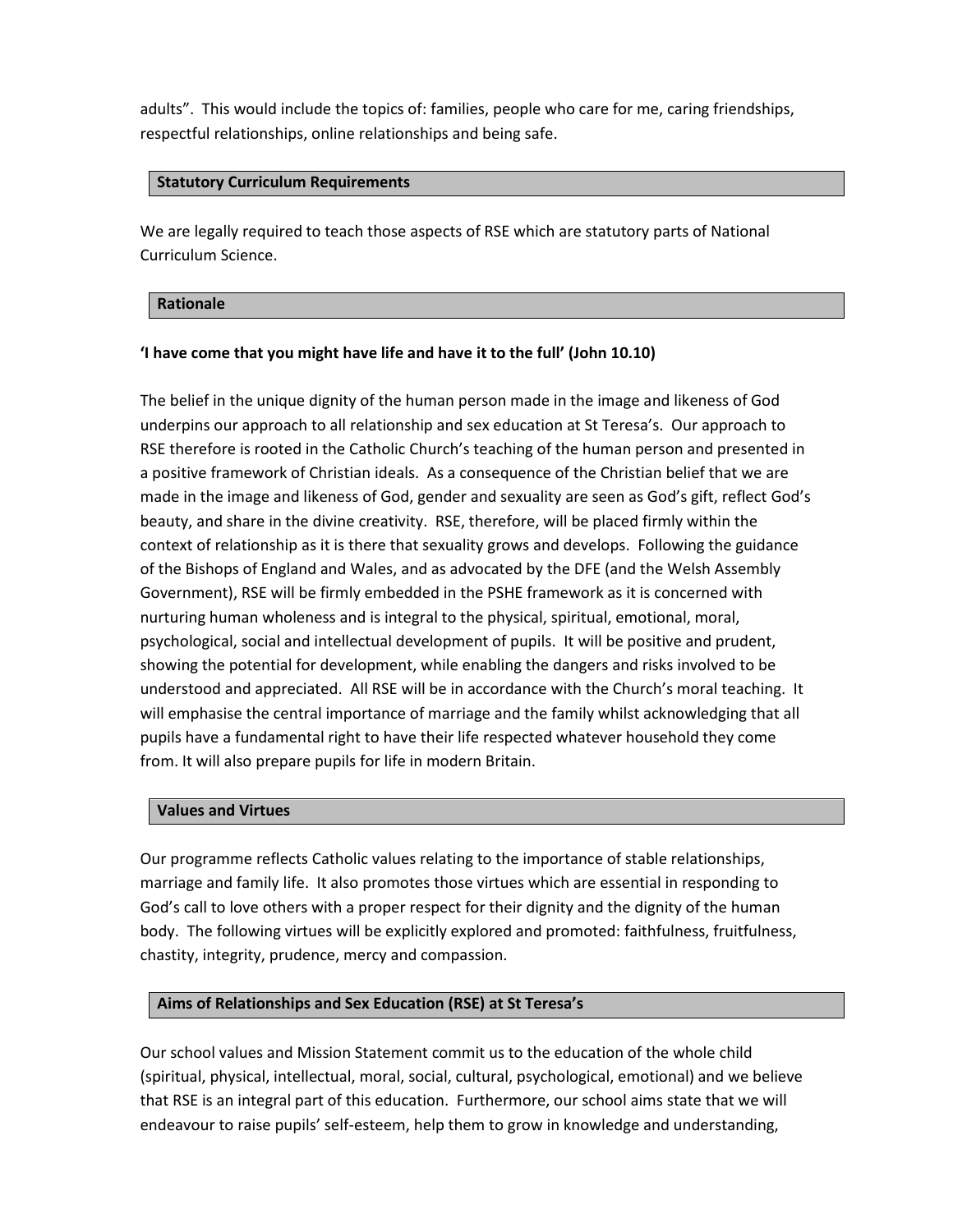adults". This would include the topics of: families, people who care for me, caring friendships, respectful relationships, online relationships and being safe.

# **Statutory Curriculum Requirements**

We are legally required to teach those aspects of RSE which are statutory parts of National Curriculum Science.

# **Rationale**

# **'I have come that you might have life and have it to the full' (John 10.10)**

The belief in the unique dignity of the human person made in the image and likeness of God underpins our approach to all relationship and sex education at St Teresa's. Our approach to RSE therefore is rooted in the Catholic Church's teaching of the human person and presented in a positive framework of Christian ideals. As a consequence of the Christian belief that we are made in the image and likeness of God, gender and sexuality are seen as God's gift, reflect God's beauty, and share in the divine creativity. RSE, therefore, will be placed firmly within the context of relationship as it is there that sexuality grows and develops. Following the guidance of the Bishops of England and Wales, and as advocated by the DFE (and the Welsh Assembly Government), RSE will be firmly embedded in the PSHE framework as it is concerned with nurturing human wholeness and is integral to the physical, spiritual, emotional, moral, psychological, social and intellectual development of pupils. It will be positive and prudent, showing the potential for development, while enabling the dangers and risks involved to be understood and appreciated. All RSE will be in accordance with the Church's moral teaching. It will emphasise the central importance of marriage and the family whilst acknowledging that all pupils have a fundamental right to have their life respected whatever household they come from. It will also prepare pupils for life in modern Britain.

# **Values and Virtues**

Our programme reflects Catholic values relating to the importance of stable relationships, marriage and family life. It also promotes those virtues which are essential in responding to God's call to love others with a proper respect for their dignity and the dignity of the human body. The following virtues will be explicitly explored and promoted: faithfulness, fruitfulness, chastity, integrity, prudence, mercy and compassion.

# **Aims of Relationships and Sex Education (RSE) at St Teresa's**

Our school values and Mission Statement commit us to the education of the whole child (spiritual, physical, intellectual, moral, social, cultural, psychological, emotional) and we believe that RSE is an integral part of this education. Furthermore, our school aims state that we will endeavour to raise pupils' self-esteem, help them to grow in knowledge and understanding,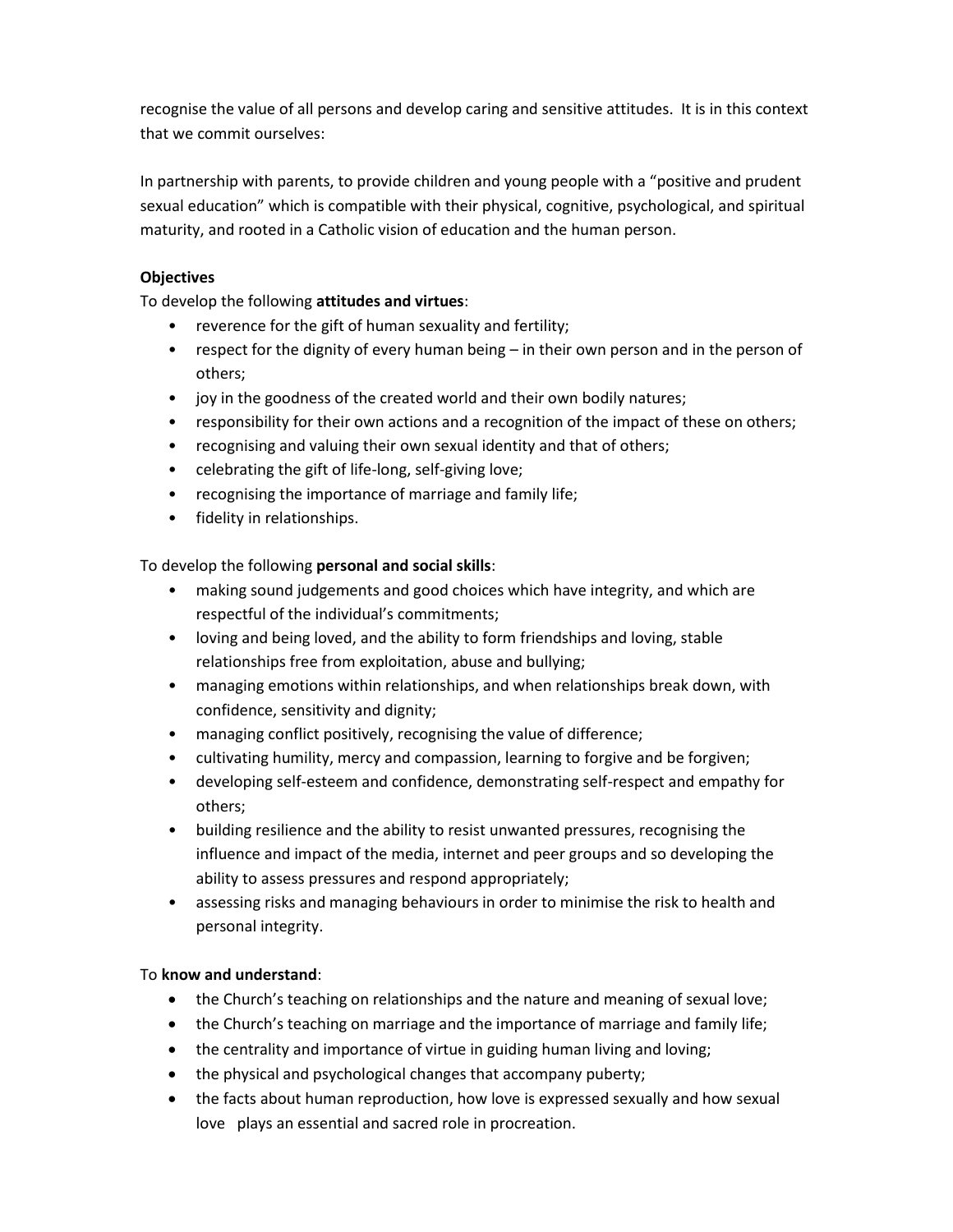recognise the value of all persons and develop caring and sensitive attitudes. It is in this context that we commit ourselves:

In partnership with parents, to provide children and young people with a "positive and prudent sexual education" which is compatible with their physical, cognitive, psychological, and spiritual maturity, and rooted in a Catholic vision of education and the human person.

# **Objectives**

To develop the following **attitudes and virtues**:

- reverence for the gift of human sexuality and fertility;
- respect for the dignity of every human being in their own person and in the person of others;
- joy in the goodness of the created world and their own bodily natures;
- responsibility for their own actions and a recognition of the impact of these on others;
- recognising and valuing their own sexual identity and that of others;
- celebrating the gift of life-long, self-giving love;
- recognising the importance of marriage and family life;
- fidelity in relationships.

To develop the following **personal and social skills**:

- making sound judgements and good choices which have integrity, and which are respectful of the individual's commitments;
- loving and being loved, and the ability to form friendships and loving, stable relationships free from exploitation, abuse and bullying;
- managing emotions within relationships, and when relationships break down, with confidence, sensitivity and dignity;
- managing conflict positively, recognising the value of difference;
- cultivating humility, mercy and compassion, learning to forgive and be forgiven;
- developing self-esteem and confidence, demonstrating self-respect and empathy for others;
- building resilience and the ability to resist unwanted pressures, recognising the influence and impact of the media, internet and peer groups and so developing the ability to assess pressures and respond appropriately;
- assessing risks and managing behaviours in order to minimise the risk to health and personal integrity.

# To **know and understand**:

- the Church's teaching on relationships and the nature and meaning of sexual love;
- the Church's teaching on marriage and the importance of marriage and family life;
- the centrality and importance of virtue in guiding human living and loving;
- the physical and psychological changes that accompany puberty;
- the facts about human reproduction, how love is expressed sexually and how sexual love plays an essential and sacred role in procreation.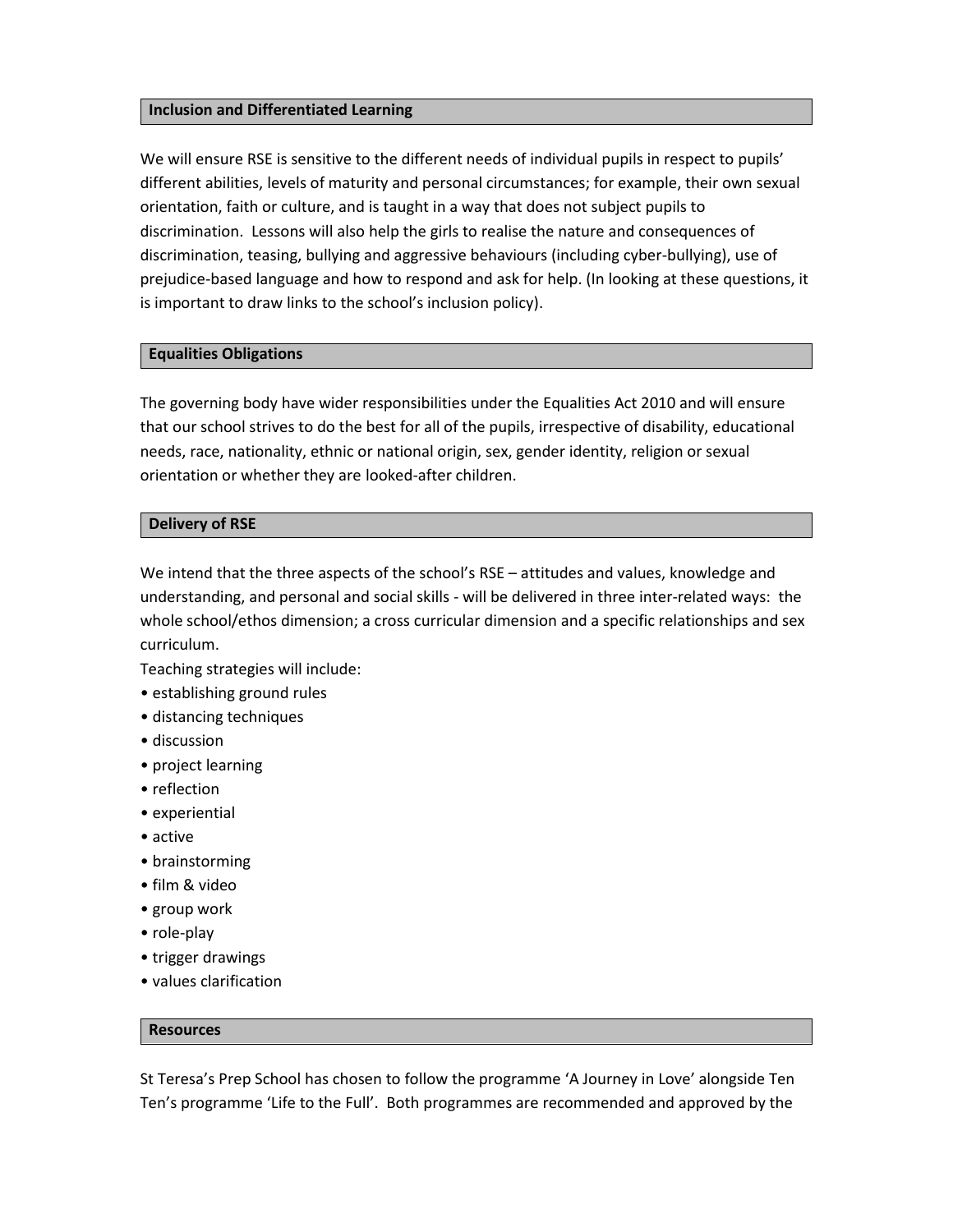### **Inclusion and Differentiated Learning**

We will ensure RSE is sensitive to the different needs of individual pupils in respect to pupils' different abilities, levels of maturity and personal circumstances; for example, their own sexual orientation, faith or culture, and is taught in a way that does not subject pupils to discrimination. Lessons will also help the girls to realise the nature and consequences of discrimination, teasing, bullying and aggressive behaviours (including cyber-bullying), use of prejudice-based language and how to respond and ask for help. (In looking at these questions, it is important to draw links to the school's inclusion policy).

### **Equalities Obligations**

The governing body have wider responsibilities under the Equalities Act 2010 and will ensure that our school strives to do the best for all of the pupils, irrespective of disability, educational needs, race, nationality, ethnic or national origin, sex, gender identity, religion or sexual orientation or whether they are looked-after children.

#### **Delivery of RSE**

We intend that the three aspects of the school's RSE – attitudes and values, knowledge and understanding, and personal and social skills - will be delivered in three inter-related ways: the whole school/ethos dimension; a cross curricular dimension and a specific relationships and sex curriculum.

Teaching strategies will include:

- establishing ground rules
- distancing techniques
- discussion
- project learning
- reflection
- experiential
- active
- brainstorming
- film & video
- group work
- role-play
- trigger drawings
- values clarification

#### **Resources**

St Teresa's Prep School has chosen to follow the programme 'A Journey in Love' alongside Ten Ten's programme 'Life to the Full'. Both programmes are recommended and approved by the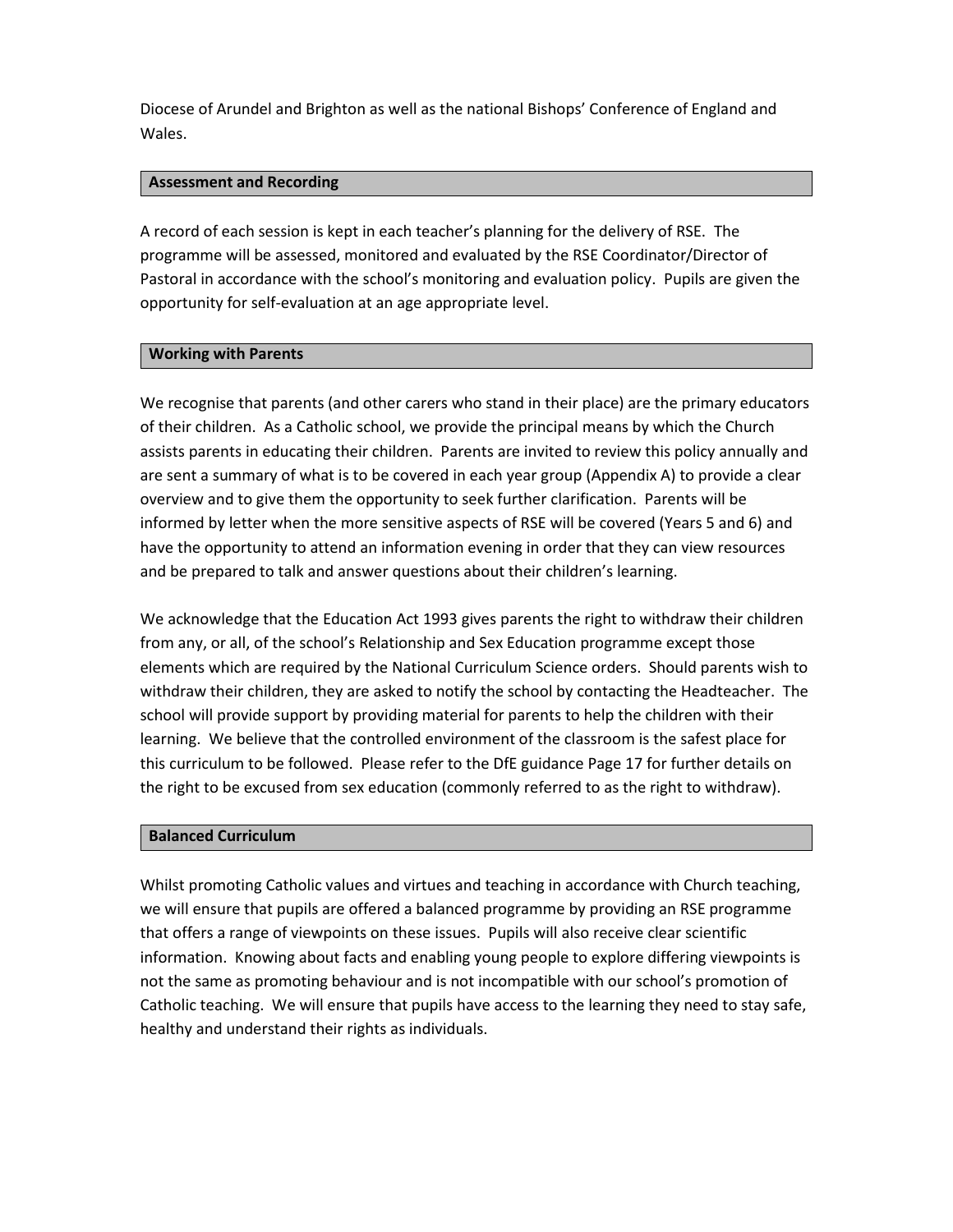Diocese of Arundel and Brighton as well as the national Bishops' Conference of England and Wales.

### **Assessment and Recording**

A record of each session is kept in each teacher's planning for the delivery of RSE. The programme will be assessed, monitored and evaluated by the RSE Coordinator/Director of Pastoral in accordance with the school's monitoring and evaluation policy. Pupils are given the opportunity for self-evaluation at an age appropriate level.

### **Working with Parents**

We recognise that parents (and other carers who stand in their place) are the primary educators of their children. As a Catholic school, we provide the principal means by which the Church assists parents in educating their children. Parents are invited to review this policy annually and are sent a summary of what is to be covered in each year group (Appendix A) to provide a clear overview and to give them the opportunity to seek further clarification. Parents will be informed by letter when the more sensitive aspects of RSE will be covered (Years 5 and 6) and have the opportunity to attend an information evening in order that they can view resources and be prepared to talk and answer questions about their children's learning.

We acknowledge that the Education Act 1993 gives parents the right to withdraw their children from any, or all, of the school's Relationship and Sex Education programme except those elements which are required by the National Curriculum Science orders. Should parents wish to withdraw their children, they are asked to notify the school by contacting the Headteacher. The school will provide support by providing material for parents to help the children with their learning. We believe that the controlled environment of the classroom is the safest place for this curriculum to be followed. Please refer to the DfE guidance Page 17 for further details on the right to be excused from sex education (commonly referred to as the right to withdraw).

#### **Balanced Curriculum**

Whilst promoting Catholic values and virtues and teaching in accordance with Church teaching, we will ensure that pupils are offered a balanced programme by providing an RSE programme that offers a range of viewpoints on these issues. Pupils will also receive clear scientific information. Knowing about facts and enabling young people to explore differing viewpoints is not the same as promoting behaviour and is not incompatible with our school's promotion of Catholic teaching. We will ensure that pupils have access to the learning they need to stay safe, healthy and understand their rights as individuals.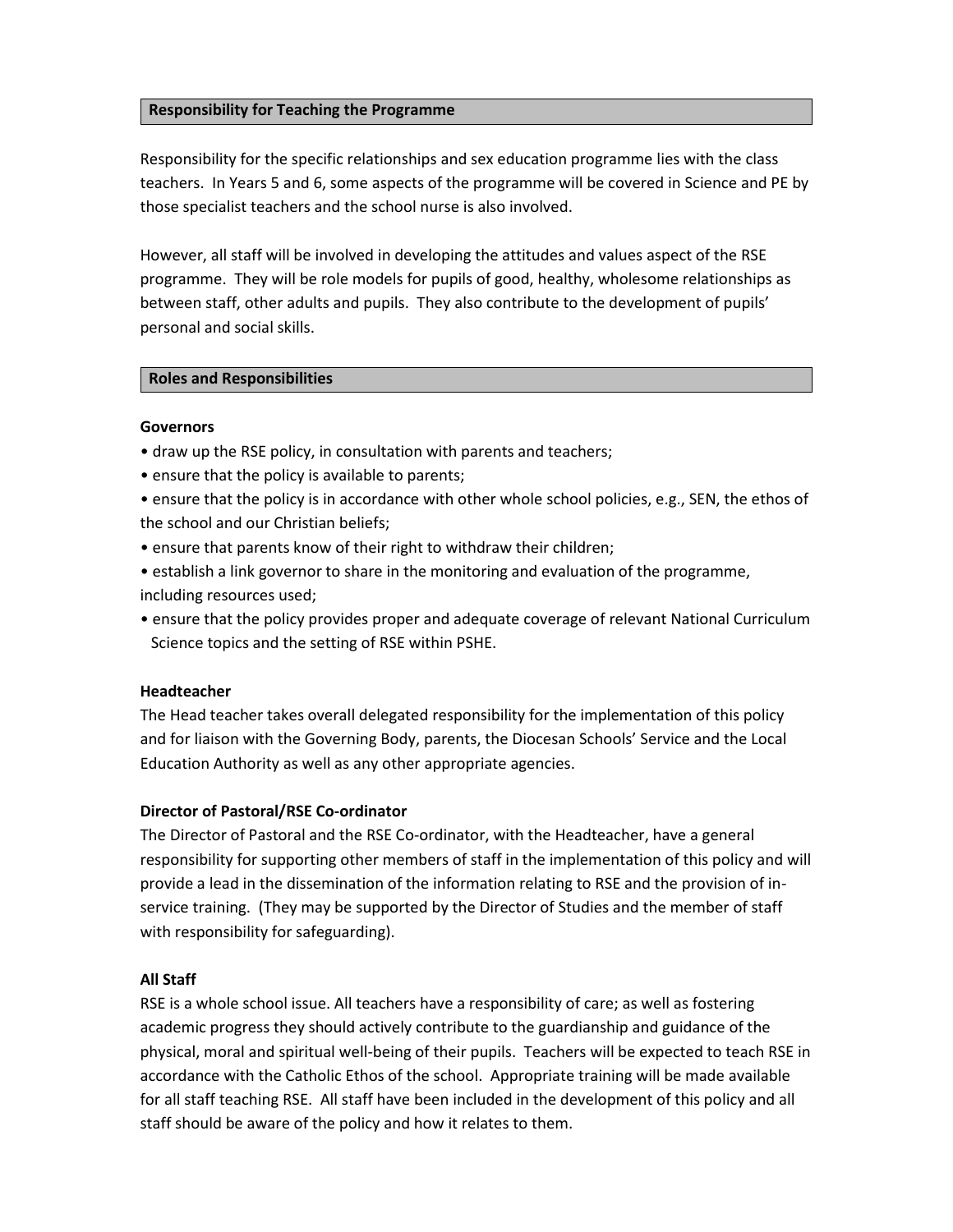### **Responsibility for Teaching the Programme**

Responsibility for the specific relationships and sex education programme lies with the class teachers. In Years 5 and 6, some aspects of the programme will be covered in Science and PE by those specialist teachers and the school nurse is also involved.

However, all staff will be involved in developing the attitudes and values aspect of the RSE programme. They will be role models for pupils of good, healthy, wholesome relationships as between staff, other adults and pupils. They also contribute to the development of pupils' personal and social skills.

#### **Roles and Responsibilities**

### **Governors**

- draw up the RSE policy, in consultation with parents and teachers;
- ensure that the policy is available to parents;
- ensure that the policy is in accordance with other whole school policies, e.g., SEN, the ethos of the school and our Christian beliefs;
- ensure that parents know of their right to withdraw their children;
- establish a link governor to share in the monitoring and evaluation of the programme, including resources used;
- ensure that the policy provides proper and adequate coverage of relevant National Curriculum Science topics and the setting of RSE within PSHE.

#### **Headteacher**

The Head teacher takes overall delegated responsibility for the implementation of this policy and for liaison with the Governing Body, parents, the Diocesan Schools' Service and the Local Education Authority as well as any other appropriate agencies.

#### **Director of Pastoral/RSE Co-ordinator**

The Director of Pastoral and the RSE Co-ordinator, with the Headteacher, have a general responsibility for supporting other members of staff in the implementation of this policy and will provide a lead in the dissemination of the information relating to RSE and the provision of inservice training. (They may be supported by the Director of Studies and the member of staff with responsibility for safeguarding).

# **All Staff**

RSE is a whole school issue. All teachers have a responsibility of care; as well as fostering academic progress they should actively contribute to the guardianship and guidance of the physical, moral and spiritual well-being of their pupils. Teachers will be expected to teach RSE in accordance with the Catholic Ethos of the school. Appropriate training will be made available for all staff teaching RSE. All staff have been included in the development of this policy and all staff should be aware of the policy and how it relates to them.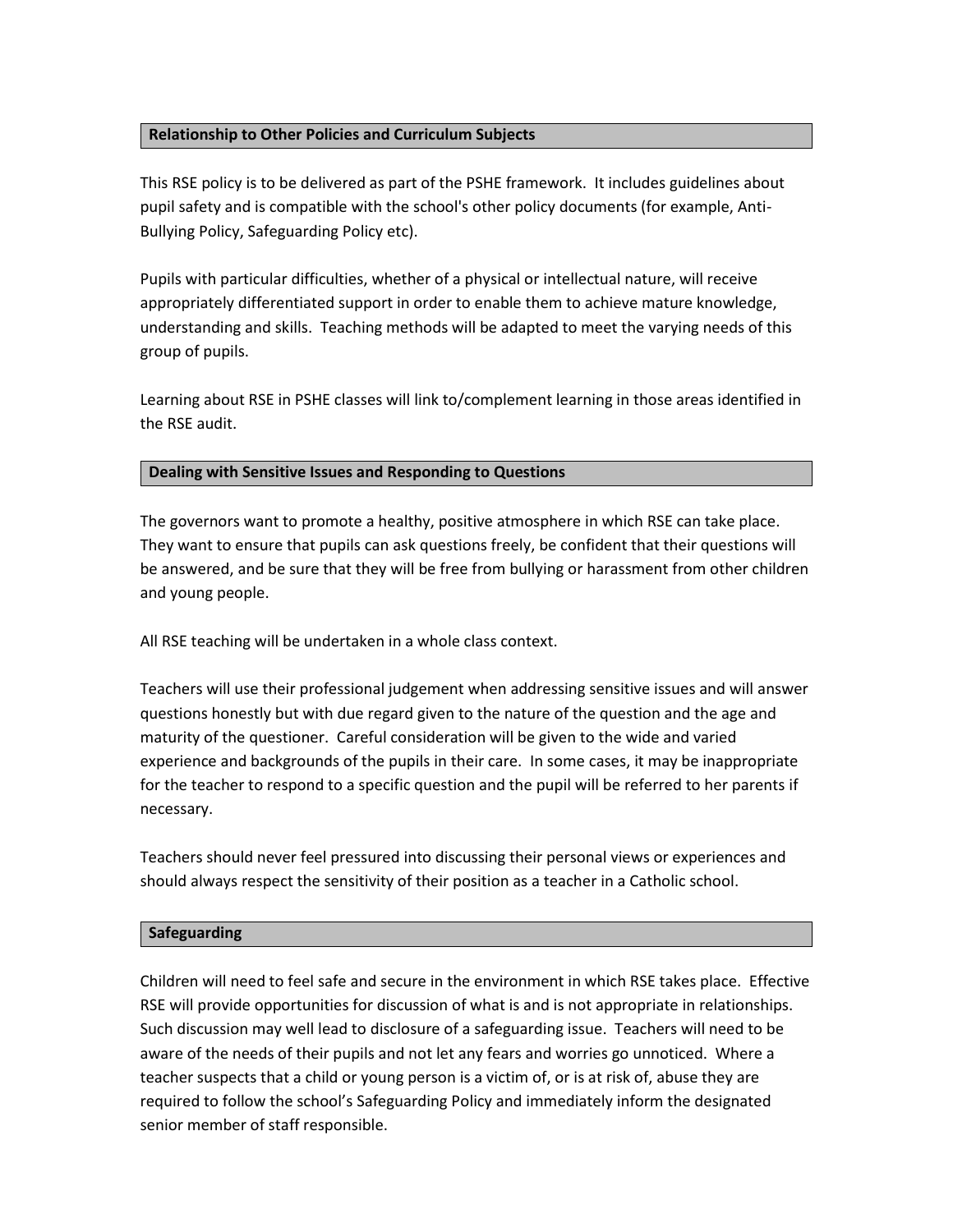# **Relationship to Other Policies and Curriculum Subjects**

This RSE policy is to be delivered as part of the PSHE framework. It includes guidelines about pupil safety and is compatible with the school's other policy documents (for example, Anti-Bullying Policy, Safeguarding Policy etc).

Pupils with particular difficulties, whether of a physical or intellectual nature, will receive appropriately differentiated support in order to enable them to achieve mature knowledge, understanding and skills. Teaching methods will be adapted to meet the varying needs of this group of pupils.

Learning about RSE in PSHE classes will link to/complement learning in those areas identified in the RSE audit.

# **Dealing with Sensitive Issues and Responding to Questions**

The governors want to promote a healthy, positive atmosphere in which RSE can take place. They want to ensure that pupils can ask questions freely, be confident that their questions will be answered, and be sure that they will be free from bullying or harassment from other children and young people.

All RSE teaching will be undertaken in a whole class context.

Teachers will use their professional judgement when addressing sensitive issues and will answer questions honestly but with due regard given to the nature of the question and the age and maturity of the questioner. Careful consideration will be given to the wide and varied experience and backgrounds of the pupils in their care. In some cases, it may be inappropriate for the teacher to respond to a specific question and the pupil will be referred to her parents if necessary.

Teachers should never feel pressured into discussing their personal views or experiences and should always respect the sensitivity of their position as a teacher in a Catholic school.

# **Safeguarding**

Children will need to feel safe and secure in the environment in which RSE takes place. Effective RSE will provide opportunities for discussion of what is and is not appropriate in relationships. Such discussion may well lead to disclosure of a safeguarding issue. Teachers will need to be aware of the needs of their pupils and not let any fears and worries go unnoticed. Where a teacher suspects that a child or young person is a victim of, or is at risk of, abuse they are required to follow the school's Safeguarding Policy and immediately inform the designated senior member of staff responsible.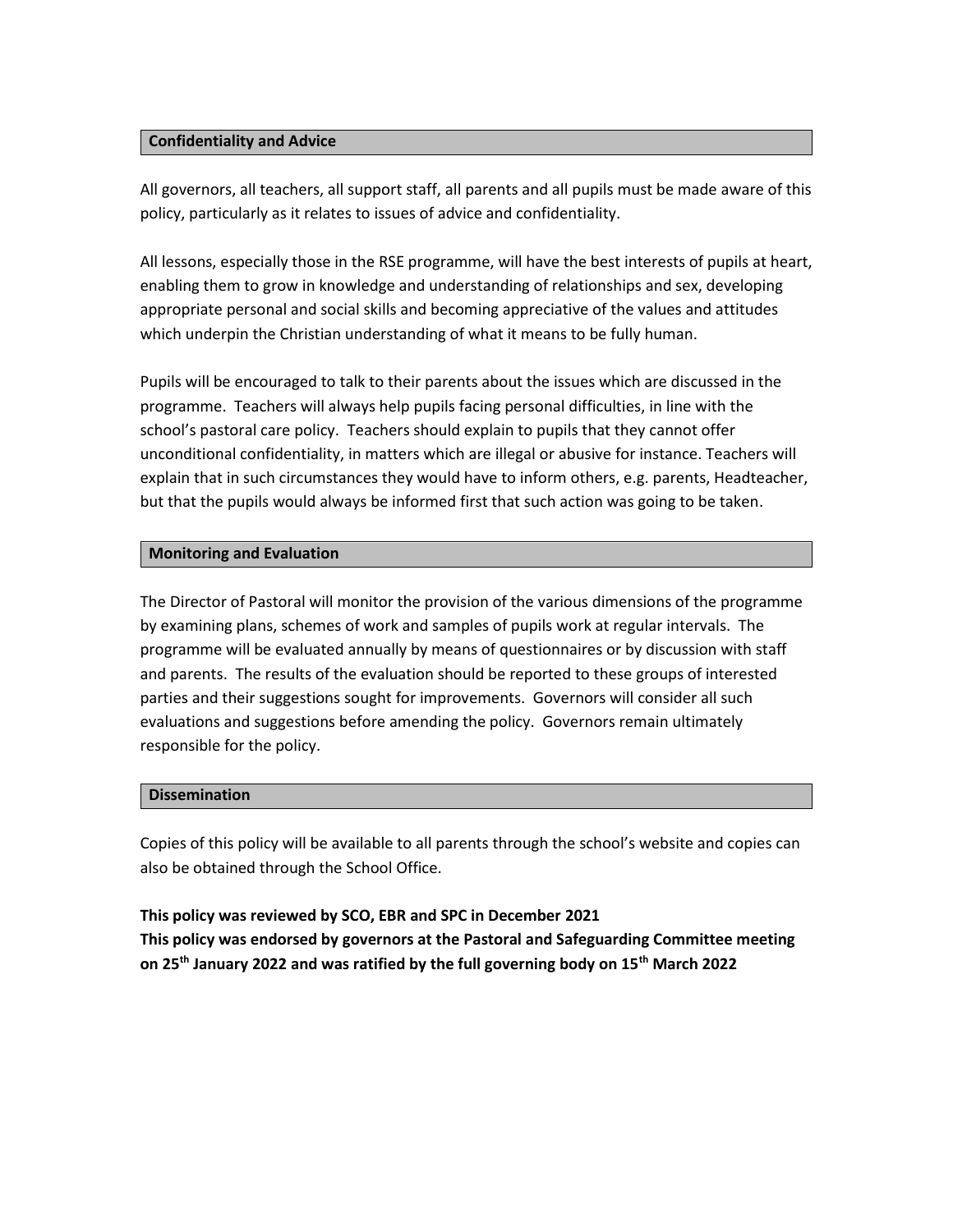#### **Confidentiality and Advice**

All governors, all teachers, all support staff, all parents and all pupils must be made aware of this policy, particularly as it relates to issues of advice and confidentiality.

All lessons, especially those in the RSE programme, will have the best interests of pupils at heart, enabling them to grow in knowledge and understanding of relationships and sex, developing appropriate personal and social skills and becoming appreciative of the values and attitudes which underpin the Christian understanding of what it means to be fully human.

Pupils will be encouraged to talk to their parents about the issues which are discussed in the programme. Teachers will always help pupils facing personal difficulties, in line with the school's pastoral care policy. Teachers should explain to pupils that they cannot offer unconditional confidentiality, in matters which are illegal or abusive for instance. Teachers will explain that in such circumstances they would have to inform others, e.g. parents, Headteacher, but that the pupils would always be informed first that such action was going to be taken.

# **Monitoring and Evaluation**

The Director of Pastoral will monitor the provision of the various dimensions of the programme by examining plans, schemes of work and samples of pupils work at regular intervals. The programme will be evaluated annually by means of questionnaires or by discussion with staff and parents. The results of the evaluation should be reported to these groups of interested parties and their suggestions sought for improvements. Governors will consider all such evaluations and suggestions before amending the policy. Governors remain ultimately responsible for the policy.

# **Dissemination**

Copies of this policy will be available to all parents through the school's website and copies can also be obtained through the School Office.

**This policy was reviewed by SCO, EBR and SPC in December 2021 This policy was endorsed by governors at the Pastoral and Safeguarding Committee meeting on 25th January 2022 and was ratified by the full governing body on 15th March 2022**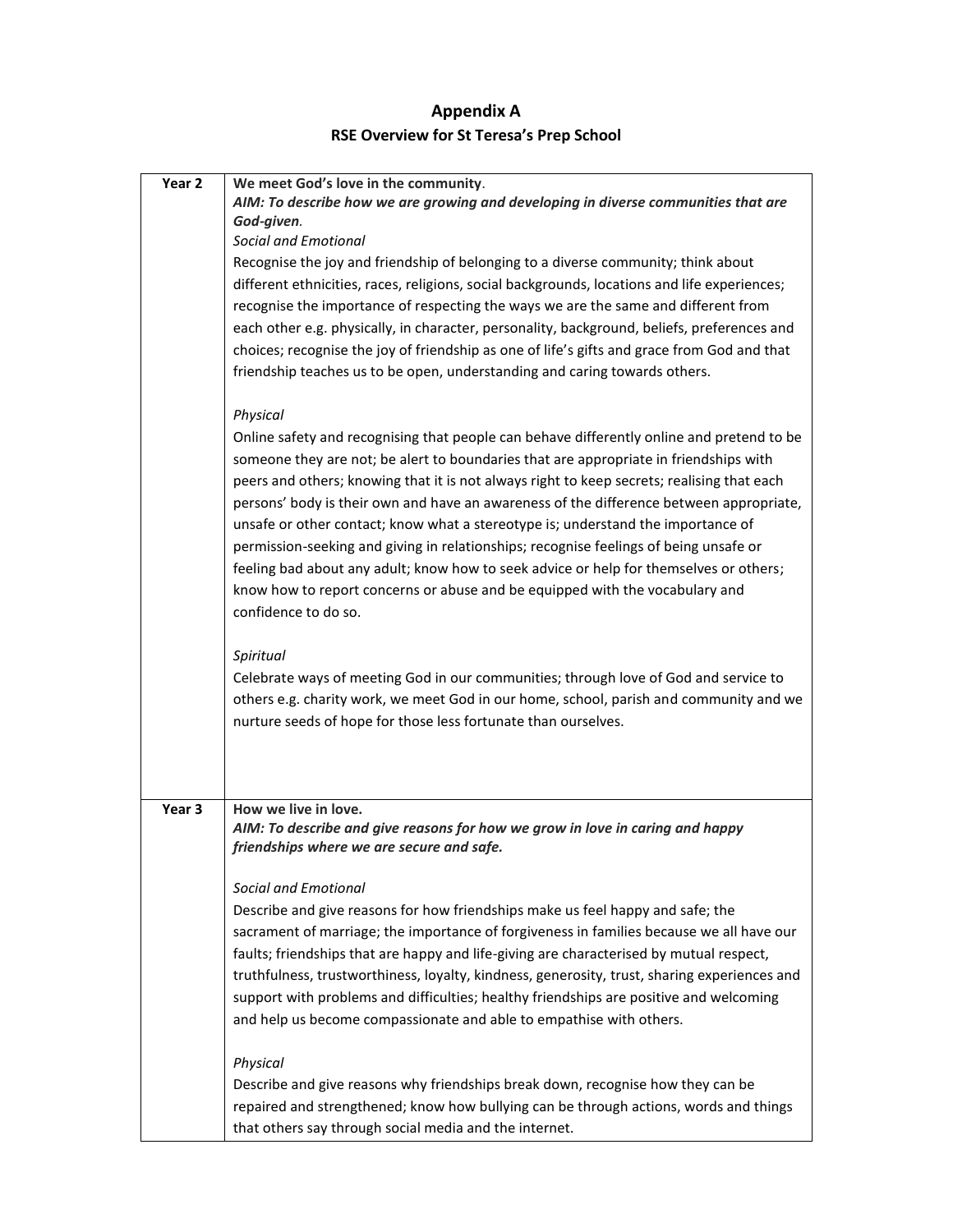# **Appendix A RSE Overview for St Teresa's Prep School**

| Year 2 | We meet God's love in the community.                                                         |
|--------|----------------------------------------------------------------------------------------------|
|        | AIM: To describe how we are growing and developing in diverse communities that are           |
|        | God-given.                                                                                   |
|        | <b>Social and Emotional</b>                                                                  |
|        | Recognise the joy and friendship of belonging to a diverse community; think about            |
|        | different ethnicities, races, religions, social backgrounds, locations and life experiences; |
|        | recognise the importance of respecting the ways we are the same and different from           |
|        | each other e.g. physically, in character, personality, background, beliefs, preferences and  |
|        | choices; recognise the joy of friendship as one of life's gifts and grace from God and that  |
|        | friendship teaches us to be open, understanding and caring towards others.                   |
|        |                                                                                              |
|        | Physical                                                                                     |
|        | Online safety and recognising that people can behave differently online and pretend to be    |
|        | someone they are not; be alert to boundaries that are appropriate in friendships with        |
|        | peers and others; knowing that it is not always right to keep secrets; realising that each   |
|        | persons' body is their own and have an awareness of the difference between appropriate,      |
|        | unsafe or other contact; know what a stereotype is; understand the importance of             |
|        | permission-seeking and giving in relationships; recognise feelings of being unsafe or        |
|        | feeling bad about any adult; know how to seek advice or help for themselves or others;       |
|        |                                                                                              |
|        | know how to report concerns or abuse and be equipped with the vocabulary and                 |
|        | confidence to do so.                                                                         |
|        | Spiritual                                                                                    |
|        | Celebrate ways of meeting God in our communities; through love of God and service to         |
|        | others e.g. charity work, we meet God in our home, school, parish and community and we       |
|        | nurture seeds of hope for those less fortunate than ourselves.                               |
|        |                                                                                              |
|        |                                                                                              |
|        |                                                                                              |
| Year 3 | How we live in love.                                                                         |
|        | AIM: To describe and give reasons for how we grow in love in caring and happy                |
|        | friendships where we are secure and safe.                                                    |
|        |                                                                                              |
|        | <b>Social and Emotional</b>                                                                  |
|        | Describe and give reasons for how friendships make us feel happy and safe; the               |
|        | sacrament of marriage; the importance of forgiveness in families because we all have our     |
|        | faults; friendships that are happy and life-giving are characterised by mutual respect,      |
|        | truthfulness, trustworthiness, loyalty, kindness, generosity, trust, sharing experiences and |
|        | support with problems and difficulties; healthy friendships are positive and welcoming       |
|        | and help us become compassionate and able to empathise with others.                          |
|        | Physical                                                                                     |
|        |                                                                                              |
|        | Describe and give reasons why friendships break down, recognise how they can be              |
|        | repaired and strengthened; know how bullying can be through actions, words and things        |
|        | that others say through social media and the internet.                                       |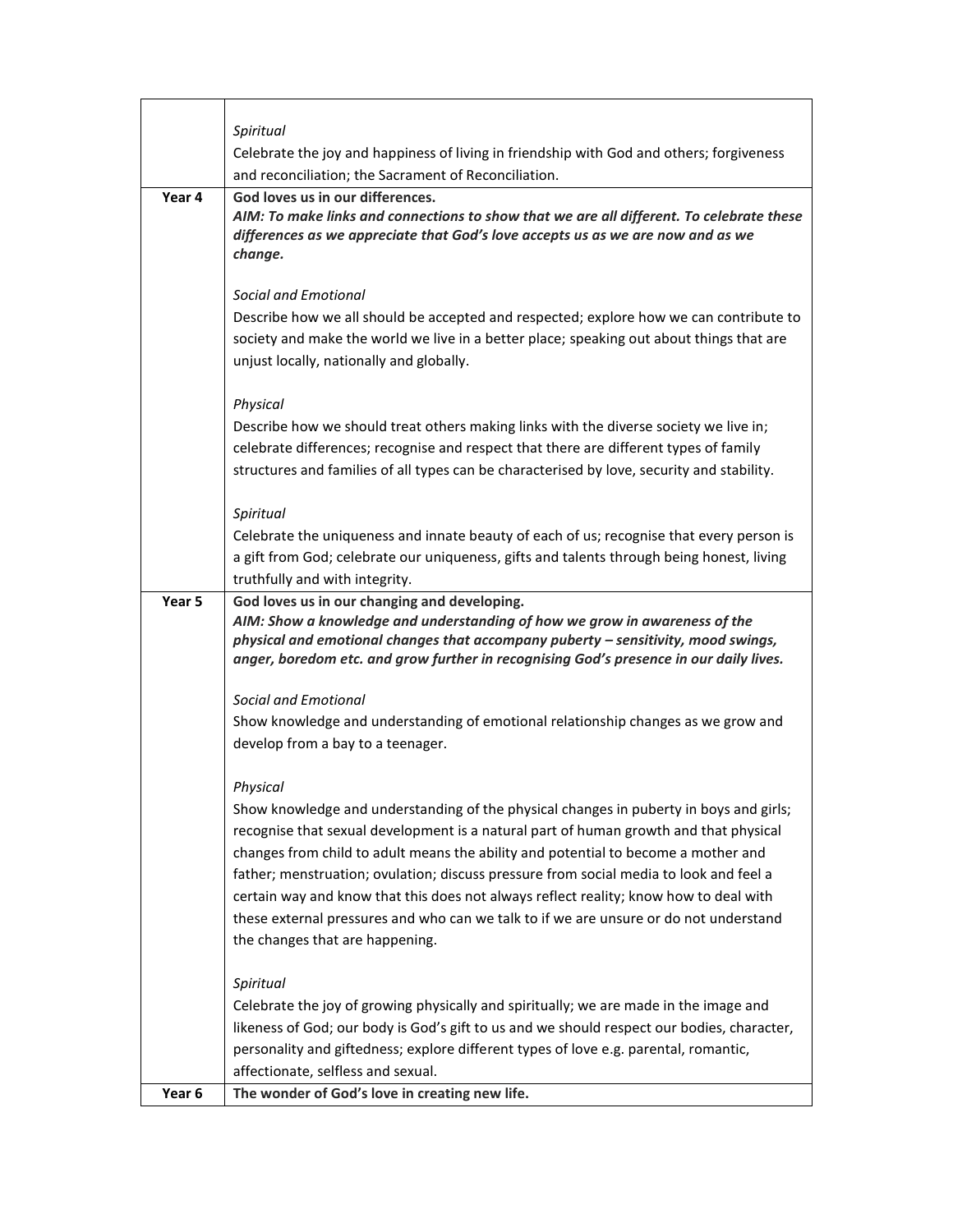|        | Spiritual                                                                                                                                                                                                                                                                                                                                                                                                                                                                                                                                                                                                                                                                                                                                                                                                                                                                                                                                                                                                                                                         |
|--------|-------------------------------------------------------------------------------------------------------------------------------------------------------------------------------------------------------------------------------------------------------------------------------------------------------------------------------------------------------------------------------------------------------------------------------------------------------------------------------------------------------------------------------------------------------------------------------------------------------------------------------------------------------------------------------------------------------------------------------------------------------------------------------------------------------------------------------------------------------------------------------------------------------------------------------------------------------------------------------------------------------------------------------------------------------------------|
|        | Celebrate the joy and happiness of living in friendship with God and others; forgiveness                                                                                                                                                                                                                                                                                                                                                                                                                                                                                                                                                                                                                                                                                                                                                                                                                                                                                                                                                                          |
| Year 4 | and reconciliation; the Sacrament of Reconciliation.<br>God loves us in our differences.                                                                                                                                                                                                                                                                                                                                                                                                                                                                                                                                                                                                                                                                                                                                                                                                                                                                                                                                                                          |
|        | AIM: To make links and connections to show that we are all different. To celebrate these<br>differences as we appreciate that God's love accepts us as we are now and as we<br>change.                                                                                                                                                                                                                                                                                                                                                                                                                                                                                                                                                                                                                                                                                                                                                                                                                                                                            |
|        | Social and Emotional<br>Describe how we all should be accepted and respected; explore how we can contribute to<br>society and make the world we live in a better place; speaking out about things that are<br>unjust locally, nationally and globally.                                                                                                                                                                                                                                                                                                                                                                                                                                                                                                                                                                                                                                                                                                                                                                                                            |
|        | Physical<br>Describe how we should treat others making links with the diverse society we live in;<br>celebrate differences; recognise and respect that there are different types of family<br>structures and families of all types can be characterised by love, security and stability.                                                                                                                                                                                                                                                                                                                                                                                                                                                                                                                                                                                                                                                                                                                                                                          |
|        | Spiritual<br>Celebrate the uniqueness and innate beauty of each of us; recognise that every person is<br>a gift from God; celebrate our uniqueness, gifts and talents through being honest, living<br>truthfully and with integrity.                                                                                                                                                                                                                                                                                                                                                                                                                                                                                                                                                                                                                                                                                                                                                                                                                              |
| Year 5 | God loves us in our changing and developing.<br>AIM: Show a knowledge and understanding of how we grow in awareness of the<br>physical and emotional changes that accompany puberty $-$ sensitivity, mood swings,<br>anger, boredom etc. and grow further in recognising God's presence in our daily lives.<br>Social and Emotional<br>Show knowledge and understanding of emotional relationship changes as we grow and<br>develop from a bay to a teenager.<br>Physical<br>Show knowledge and understanding of the physical changes in puberty in boys and girls;<br>recognise that sexual development is a natural part of human growth and that physical<br>changes from child to adult means the ability and potential to become a mother and<br>father; menstruation; ovulation; discuss pressure from social media to look and feel a<br>certain way and know that this does not always reflect reality; know how to deal with<br>these external pressures and who can we talk to if we are unsure or do not understand<br>the changes that are happening. |
| Year 6 | Spiritual<br>Celebrate the joy of growing physically and spiritually; we are made in the image and<br>likeness of God; our body is God's gift to us and we should respect our bodies, character,<br>personality and giftedness; explore different types of love e.g. parental, romantic,<br>affectionate, selfless and sexual.<br>The wonder of God's love in creating new life.                                                                                                                                                                                                                                                                                                                                                                                                                                                                                                                                                                                                                                                                                  |
|        |                                                                                                                                                                                                                                                                                                                                                                                                                                                                                                                                                                                                                                                                                                                                                                                                                                                                                                                                                                                                                                                                   |

 $\mathsf{r}$